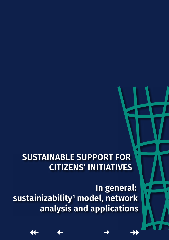# <span id="page-0-0"></span>**SUSTAINABLE SUPPORT FOR CITIZENS' INITIATIVES**

**In general: sustainizability[1](#page-7-0) model, network analysis and applications**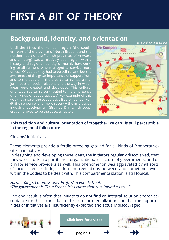# FIRST A BIT OF THEORY

### **Background, identity, and orientation**

*click on the map to enlarge*

Until the fifties the Kempen region (the southern part of the province of North Brabant and the northern part of the Flemish provinces of Antwerp and Limburg) was a relatively poor region with a history and regional identity of mainly hardworking small farmers, who managed to survive more or less. Of course they had to be self-reliant, but the awareness of the great importance of support from and to the people in the area certainly had a major impact on social relations and the way in which ideas were created and developed. This cultural orientation certainly contributed to the emergence of all kinds of cooperatives. A key example of this was the arise of the cooperative Boerenleenbanken (Raiffeisenbank), and more recently the impressive industrial development (Brainport) in which cooperation proved to be the success factor.



**This tradition and cultural orientation of "together we can" is still perceptible in the regional folk nature.**

#### **Citizens' initiatives**

These elements provide a fertile breeding ground for all kinds of (cooperative) citizen initiatives.

In designing and developing these ideas, the initiators regularly discover(ed) that they were stuck in a partitioned organizational structure of governments, and of private service providers as well. This phenomenon was aggravated by all sorts of inconsistencies in legislation and regulations between and sometimes even within the bodies to be dealt with. This compartmentalization is still topical.

*Former King's Commissioner Prof. Wim van de Donk: "The government is like a French fries cutter that cuts initiatives to...."*

The end result is often that initiators do not find an integral solution and/or acceptance for their plans due to this compartmentalization and that the opportunities of initiatives are insufficiently exploited and actually discouraged.

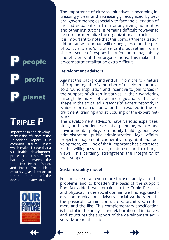## <span id="page-2-0"></span>**p p p people profit planet**

# Triple P

Important in the development is the influence of the Brundtland report "Our common future, 1987" which makes it clear that a sustainable development process requires sufficient harmony between the three P's: People, Planet, and Profit. These ideas certainly give direction to the commitment of the development advisors.



The importance of citizens' initiatives is becoming increasingly clear and increasingly recognized by several governments; especially to face the alienation of the individual citizen from anonymizing authorities and other institutions. It remains difficult however to de-compartmentalize the organizational structures. It is important to note that this compartmentalization did not arise from bad will or negligence on the part of politicians and/or civil servants, but rather from a sincere sense of responsibility for the manageability and efficiency of their organizations. This makes the de-compartmentalization extra difficult.

#### **Development advisors**

Against this background and still from the folk nature of "coping together" a number of development advisors found inspiration and incentive to join forces in the support of citizen initiatives in their wandering through the mazes of laws and regulations. This took shape in the so called *Tussenheid*[2](#page-7-0) expert network, in which informal collaboration has resulted in the recruitment, training and structuring of the expert network.

The development advisors have various expertises, skills, and experiences: spatial planning, nature and environmental policy, community building, business administration, public administration, legal affairs, project management, cooperative organizational development, etc. One of their important basic attitudes is the willingness to align interests and exchange views. This certainly strengthens the integrality of their support.

#### **Sustainizability model**

For the sake of an even more focused analysis of the problems and to broaden the basis of the support Pontifax added two domains to the Triple P: social and physical. In the social domain we find e.g. teachers, communication advisors, social workers etc. In the physical domain contractors, architects, craftsmen, and the like. This complementary specification is helpful in the analysis and elaboration of initiatives and structures the support of the development advisors. More on this later.





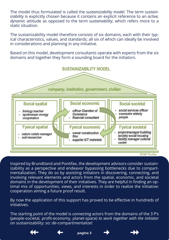The model thus formulated is called the *sustainizability model.* The term *sustainizability* is explicitly chosen because it contains an explicit reference to an *active, dynamic* attitude as opposed to the term *sustainability*, which refers more to a static situation.

The sustainizability model therefore consists of six domains, each with their typical characteristics, values, and standards; all six of which can ideally be involved in considerations and planning in any initiative.

Based on this model, development consultants operate with experts from the six domains and together they form a sounding board for the initiators.



Inspired by Brundtland and Pontifax, the development advisors consider sustainizability as a perspective and endeavor bypassing bottlenecks due to compartmentalization. They do so by assisting initiators in discovering, connecting, and involving relevant elements and actors from the spatial, economic, and societal domains in the development of their initiatives. They are helpful in finding an optimal mix of opportunities, views, and interests in order to realize the initiative: cooperation aiming a future proof result.

By now the application of this support has proved to be effective in hundreds of initiatives.

The starting point of the model is *connecting* actors from the domains of the 3 P's (people-societal, profit-economy, planet-space) *to work together with the initiator* on sustainizability: so: de-compartmentalize!







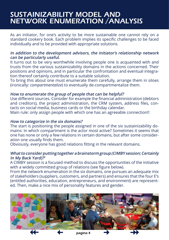### <span id="page-4-0"></span>sustainizability model and network enumeration /analysis

As an initiator, for one's activity to be more sustainable one cannot rely on a standard cookery book. Each problem implies its specific challenges to be faced individually and to be provided with appropriate solutions.

#### **In addition to the development advisors, the initiator's relationship network can be particularly useful.**

It turns out to be very worthwhile involving people one is acquainted with and trusts from the various sustainizability domains in the actions concerned. Their positions and opinions, and in particular the confrontation and eventual integration thereof certainly contribute to a suitable solution.

To bring this about one must enumerate them carefully, arrange them in siloes (ironically: *compartmentalize*) to eventually de-compartmentalize them.

#### **How to enumerate the group of people that can be helpful?**

Use different sources. Consider for example the financial administration (debtors and creditors), the project administration, the CRM system, address files, contacts on social media, business cards or the birthday calendar.

Main rule: only assign people with which one has an agreeable connection!!

#### **How to categorize in the six domains?**

The start is positioning the people assigned in one of the six sustainizability domains: In which compartment is the actor most active? Sometimes it seems that one has none or only a few relations in certain domains, but after some consideration one usually finds them.

Obviously, everyone has good relations fitting in the relevant domains.

#### **What to consider putting together a brainstorm group (CIMBY session; Certainly In My Back Yard)?[3](#page-7-0)**

A CIMBY session is a focused method to discuss the opportunities of the initiative with a widely committed group of relations (see figure below).

From the network enumeration in the six domains, one pursues an adequate mix of stakeholders (suppliers, customers, and partners) and ensures that the four E's (entitled authorities, education, entrepreneurs, and environment) are represented. Then, make a nice mix of personality features and gender.

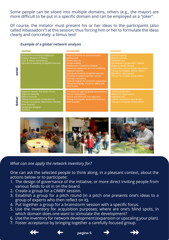<span id="page-5-0"></span>Some people can be siloed into multiple domains, others (e.g., the mayor) are more difficult to be put in a specific domain and can be employed as a "joker".

Of course, the initiator must present his or her ideas to the participants (also called inbassadors[4](#page-7-0)) at this session; thus forcing him or her to formulate the ideas clearly and concretely: a litmus test!

#### **Example of a global network analysis**





#### *What can one apply the network inventory for?*

One can ask the selected people to think along, in a pleasant context, about the actions below or to participate:

- 1. The design of governance of the initiative, or more direct inviting people from various fields to sit in on the board.
- 2. Create a group for a CIMBY session.
- 3. Establish a group for a pitch round (in a pitch one presents one's ideas to a group of experts who then reflect on it).
- 4. Put together a group for a brainstorm session with a specific focus.
- 5. Use the inventory for acquisition purposes; where are one's blind spots, in which domain does one want to stimulate the development?
- 6. Use the inventory for network development (expansion or upscaling your plan).
- 7. Foster acceptance by bringing together a carefully focused group.





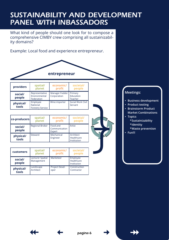## sustainability and development panel with inbassadors

What kind of people should one look for to compose a comprehensive CIMBY crew comprising all sustainizability domains?

Example: Local food and experience entrepreneur.



|                    | planet                                          | profit                                  | people                       |
|--------------------|-------------------------------------------------|-----------------------------------------|------------------------------|
| social/<br>people  | Representative<br>Environmental<br>Federation   | Manager Fodder   Primary<br>Corporation | Education<br>Teacher         |
| physical/<br>tools | Employee<br>National<br><b>Forestry Service</b> | Wine importer                           | Social Work Civil<br>Servant |

| co-producers       | spatial/<br>planet     | economic/<br>profit                 | societal/<br>people                    |
|--------------------|------------------------|-------------------------------------|----------------------------------------|
| social/<br>people  | <b>Regional Broker</b> | Food and<br>Communication<br>Expert | Artist                                 |
| physical/<br>tools | Steward                | Mechanical<br>Engineer              | Architect<br>Healthcare<br>Institution |

| <b>customers</b>  | spatial/                              | economic/      | societal/                             |
|-------------------|---------------------------------------|----------------|---------------------------------------|
|                   | planet                                | profit         | people                                |
| social/<br>people | <b>Lecturer Spatial</b><br>Management | Marketeer      | Employee<br>Healthcare<br>Institution |
| physical/         | Landscape                             | Project Devel- | Construction                          |
| tools             | Architect                             | oper           | Contractor                            |



#### **Meetings:**

- **• Business development**
- **• Product testing**
- **• Brainstorm Product Market Combinations**
- **• Topics \*Sustainizability**
	- **\*Identity**
	- **\*Waste prevention**
-